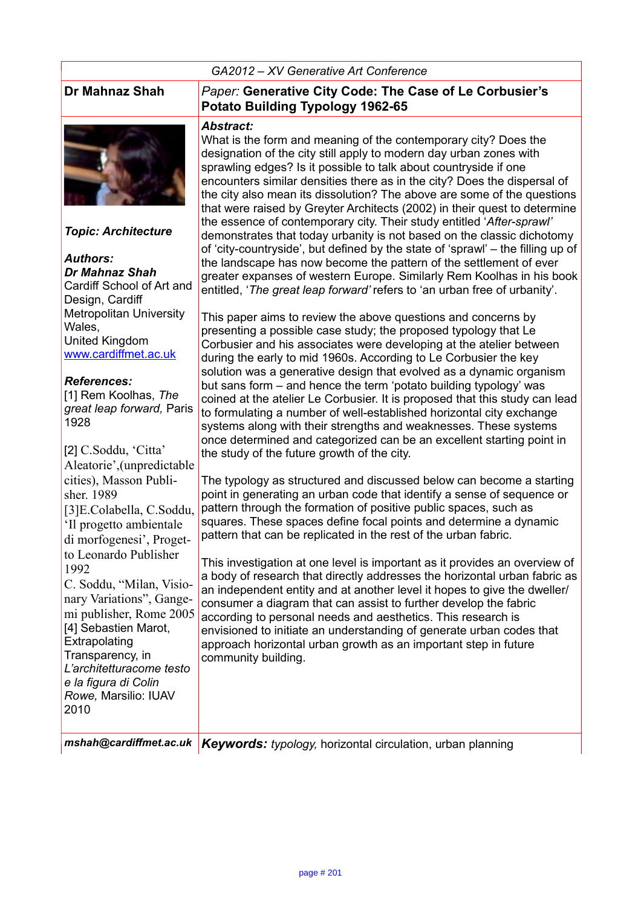#### *GA2012 – XV Generative Art Conference*



*Topic: Architecture*

*Authors: Dr Mahnaz Shah* Cardiff School of Art and Design, Cardiff Metropolitan University **Wales** United Kingdom [www.cardiffmet.ac.uk](http://www.cardiffmet.ac.uk/)

#### *References:*

[1] Rem Koolhas, *The great leap forward,* Paris 1928

| [2] C.Soddu, 'Citta'       | t |
|----------------------------|---|
| Aleatorie', (unpredictable |   |
| cities), Masson Publi-     | ٦ |
| sher. 1989                 | ŗ |
| [3]E.Colabella, C.Soddu,   | p |
| Il progetto ambientale     | Ś |
| di morfogenesi', Proget-   | ŗ |
| to Leonardo Publisher      | ٦ |
| 1992                       | ć |
| C. Soddu, "Milan, Visio-   | ć |
| nary Variations", Gange-   | Ó |
| mi publisher, Rome 2005    | ć |
| [4] Sebastien Marot,       | É |
| Extrapolating              | ć |
| Transparency, in           | Ć |
| L'architetturacome testo   |   |
| e la figura di Colin       |   |
| Rowe, Marsilio: IUAV       |   |
| 2010                       |   |
|                            |   |

#### **Dr Mahnaz Shah** *Paper:* **Generative City Code: The Case of Le Corbusier's Potato Building Typology 1962-65**

#### *Abstract:*

What is the form and meaning of the contemporary city? Does the designation of the city still apply to modern day urban zones with sprawling edges? Is it possible to talk about countryside if one encounters similar densities there as in the city? Does the dispersal of the city also mean its dissolution? The above are some of the questions that were raised by Greyter Architects (2002) in their quest to determine the essence of contemporary city. Their study entitled '*After-sprawl'* demonstrates that today urbanity is not based on the classic dichotomy of 'city-countryside', but defined by the state of 'sprawl' – the filling up of the landscape has now become the pattern of the settlement of ever greater expanses of western Europe. Similarly Rem Koolhas in his book entitled, '*The great leap forward'* refers to 'an urban free of urbanity'.

This paper aims to review the above questions and concerns by presenting a possible case study; the proposed typology that Le Corbusier and his associates were developing at the atelier between during the early to mid 1960s. According to Le Corbusier the key solution was a generative design that evolved as a dynamic organism but sans form – and hence the term 'potato building typology' was coined at the atelier Le Corbusier. It is proposed that this study can lead to formulating a number of well-established horizontal city exchange systems along with their strengths and weaknesses. These systems once determined and categorized can be an excellent starting point in he study of the future growth of the city.

The typology as structured and discussed below can become a starting point in generating an urban code that identify a sense of sequence or pattern through the formation of positive public spaces, such as squares. These spaces define focal points and determine a dynamic pattern that can be replicated in the rest of the urban fabric.

This investigation at one level is important as it provides an overview of a body of research that directly addresses the horizontal urban fabric as an independent entity and at another level it hopes to give the dweller/ consumer a diagram that can assist to further develop the fabric according to personal needs and aesthetics. This research is envisioned to initiate an understanding of generate urban codes that approach horizontal urban growth as an important step in future community building.

*mshah@cardiffmet.ac.uk Keywords: typology,* horizontal circulation, urban planning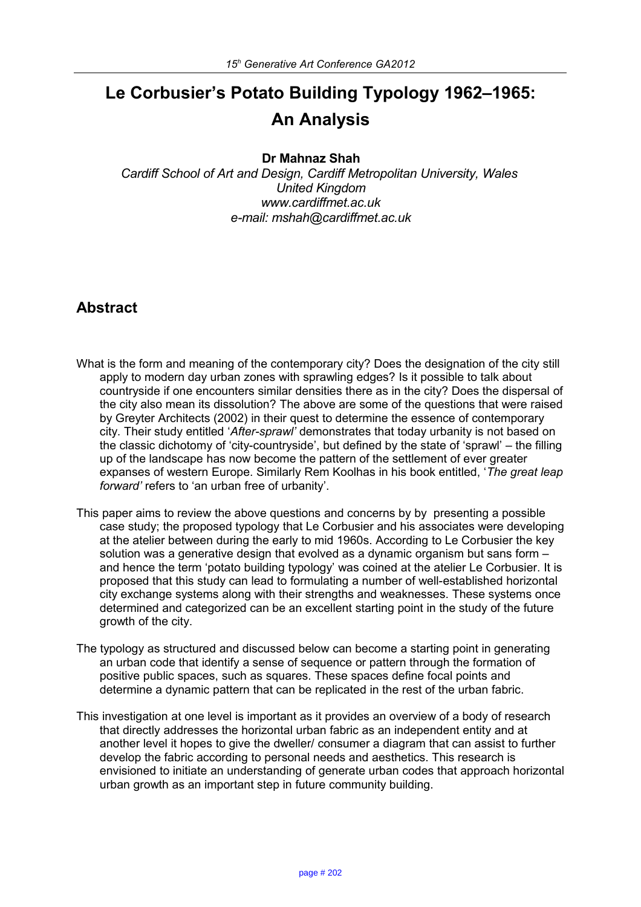# **Le Corbusier's Potato Building Typology 1962–1965: An Analysis**

#### **Dr Mahnaz Shah**

*Cardiff School of Art and Design, Cardiff Metropolitan University, Wales United Kingdom www.cardiffmet.ac.uk e-mail: mshah@cardiffmet.ac.uk*

## **Abstract**

- What is the form and meaning of the contemporary city? Does the designation of the city still apply to modern day urban zones with sprawling edges? Is it possible to talk about countryside if one encounters similar densities there as in the city? Does the dispersal of the city also mean its dissolution? The above are some of the questions that were raised by Greyter Architects (2002) in their quest to determine the essence of contemporary city. Their study entitled '*After-sprawl'* demonstrates that today urbanity is not based on the classic dichotomy of 'city-countryside', but defined by the state of 'sprawl' – the filling up of the landscape has now become the pattern of the settlement of ever greater expanses of western Europe. Similarly Rem Koolhas in his book entitled, '*The great leap forward'* refers to 'an urban free of urbanity'.
- This paper aims to review the above questions and concerns by by presenting a possible case study; the proposed typology that Le Corbusier and his associates were developing at the atelier between during the early to mid 1960s. According to Le Corbusier the key solution was a generative design that evolved as a dynamic organism but sans form – and hence the term 'potato building typology' was coined at the atelier Le Corbusier. It is proposed that this study can lead to formulating a number of well-established horizontal city exchange systems along with their strengths and weaknesses. These systems once determined and categorized can be an excellent starting point in the study of the future growth of the city.
- The typology as structured and discussed below can become a starting point in generating an urban code that identify a sense of sequence or pattern through the formation of positive public spaces, such as squares. These spaces define focal points and determine a dynamic pattern that can be replicated in the rest of the urban fabric.
- This investigation at one level is important as it provides an overview of a body of research that directly addresses the horizontal urban fabric as an independent entity and at another level it hopes to give the dweller/ consumer a diagram that can assist to further develop the fabric according to personal needs and aesthetics. This research is envisioned to initiate an understanding of generate urban codes that approach horizontal urban growth as an important step in future community building.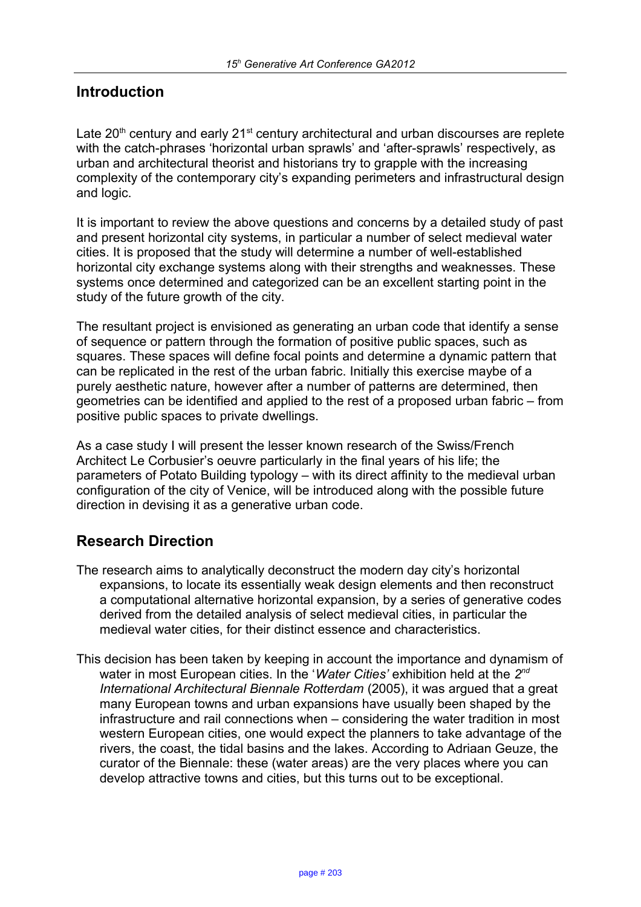## **Introduction**

Late  $20<sup>th</sup>$  century and early  $21<sup>st</sup>$  century architectural and urban discourses are replete with the catch-phrases 'horizontal urban sprawls' and 'after-sprawls' respectively, as urban and architectural theorist and historians try to grapple with the increasing complexity of the contemporary city's expanding perimeters and infrastructural design and logic.

It is important to review the above questions and concerns by a detailed study of past and present horizontal city systems, in particular a number of select medieval water cities. It is proposed that the study will determine a number of well-established horizontal city exchange systems along with their strengths and weaknesses. These systems once determined and categorized can be an excellent starting point in the study of the future growth of the city.

The resultant project is envisioned as generating an urban code that identify a sense of sequence or pattern through the formation of positive public spaces, such as squares. These spaces will define focal points and determine a dynamic pattern that can be replicated in the rest of the urban fabric. Initially this exercise maybe of a purely aesthetic nature, however after a number of patterns are determined, then geometries can be identified and applied to the rest of a proposed urban fabric – from positive public spaces to private dwellings.

As a case study I will present the lesser known research of the Swiss/French Architect Le Corbusier's oeuvre particularly in the final years of his life; the parameters of Potato Building typology – with its direct affinity to the medieval urban configuration of the city of Venice, will be introduced along with the possible future direction in devising it as a generative urban code.

## **Research Direction**

- The research aims to analytically deconstruct the modern day city's horizontal expansions, to locate its essentially weak design elements and then reconstruct a computational alternative horizontal expansion, by a series of generative codes derived from the detailed analysis of select medieval cities, in particular the medieval water cities, for their distinct essence and characteristics.
- This decision has been taken by keeping in account the importance and dynamism of water in most European cities. In the '*Water Cities'* exhibition held at the 2<sup>nd</sup> *International Architectural Biennale Rotterdam* (2005), it was argued that a great many European towns and urban expansions have usually been shaped by the infrastructure and rail connections when – considering the water tradition in most western European cities, one would expect the planners to take advantage of the rivers, the coast, the tidal basins and the lakes. According to Adriaan Geuze, the curator of the Biennale: these (water areas) are the very places where you can develop attractive towns and cities, but this turns out to be exceptional.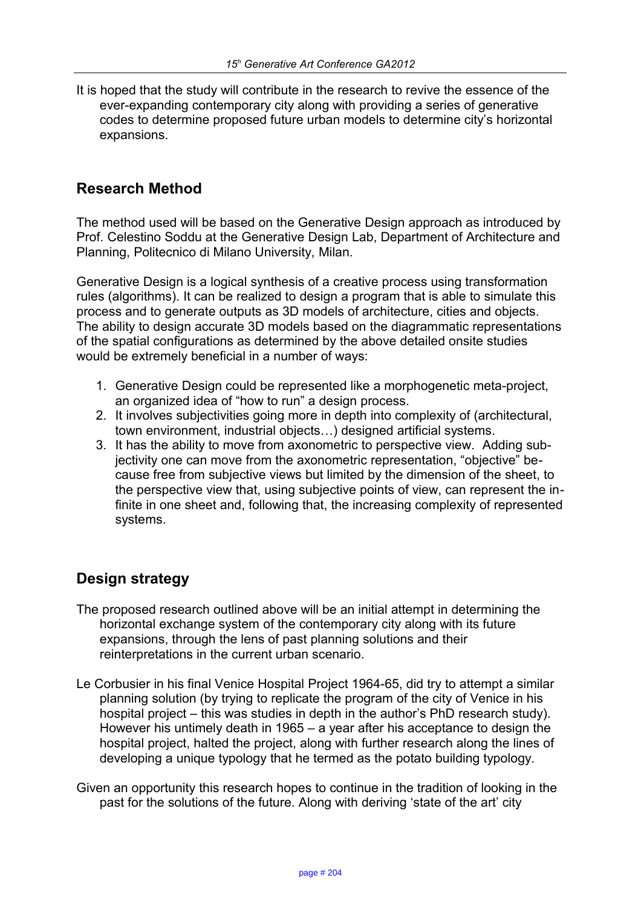It is hoped that the study will contribute in the research to revive the essence of the ever-expanding contemporary city along with providing a series of generative codes to determine proposed future urban models to determine city's horizontal expansions.

## **Research Method**

The method used will be based on the Generative Design approach as introduced by Prof. Celestino Soddu at the Generative Design Lab, Department of Architecture and Planning, Politecnico di Milano University, Milan.

Generative Design is a logical synthesis of a creative process using transformation rules (algorithms). It can be realized to design a program that is able to simulate this process and to generate outputs as 3D models of architecture, cities and objects. The ability to design accurate 3D models based on the diagrammatic representations of the spatial configurations as determined by the above detailed onsite studies would be extremely beneficial in a number of ways:

- 1. Generative Design could be represented like a morphogenetic meta-project, an organized idea of "how to run" a design process.
- 2. It involves subjectivities going more in depth into complexity of (architectural, town environment, industrial objects…) designed artificial systems.
- 3. It has the ability to move from axonometric to perspective view. Adding subjectivity one can move from the axonometric representation, "objective" because free from subjective views but limited by the dimension of the sheet, to the perspective view that, using subjective points of view, can represent the infinite in one sheet and, following that, the increasing complexity of represented systems.

## **Design strategy**

- The proposed research outlined above will be an initial attempt in determining the horizontal exchange system of the contemporary city along with its future expansions, through the lens of past planning solutions and their reinterpretations in the current urban scenario.
- Le Corbusier in his final Venice Hospital Project 1964-65, did try to attempt a similar planning solution (by trying to replicate the program of the city of Venice in his hospital project – this was studies in depth in the author's PhD research study). However his untimely death in 1965 – a year after his acceptance to design the hospital project, halted the project, along with further research along the lines of developing a unique typology that he termed as the potato building typology.
- Given an opportunity this research hopes to continue in the tradition of looking in the past for the solutions of the future. Along with deriving 'state of the art' city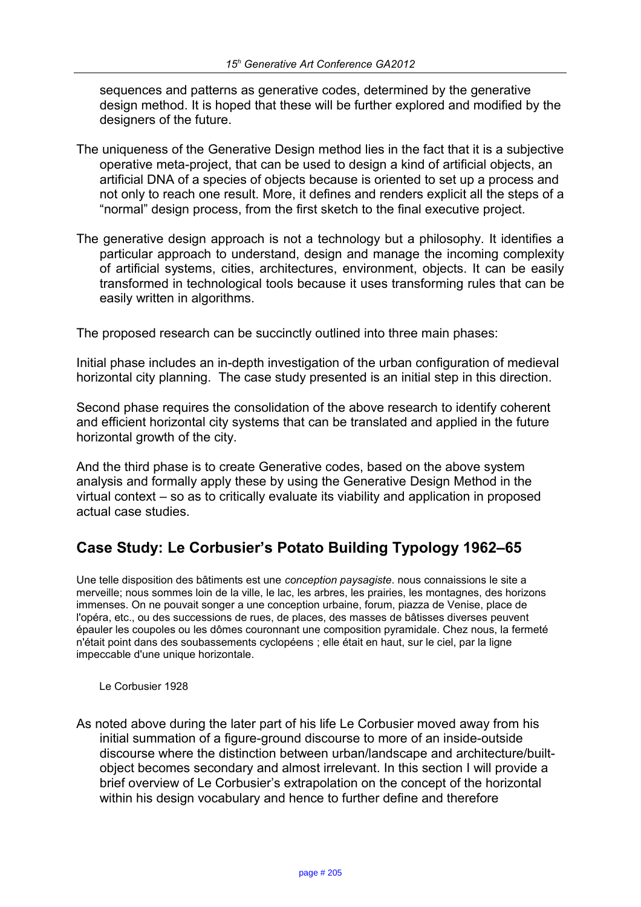sequences and patterns as generative codes, determined by the generative design method. It is hoped that these will be further explored and modified by the designers of the future.

- The uniqueness of the Generative Design method lies in the fact that it is a subjective operative meta-project, that can be used to design a kind of artificial objects, an artificial DNA of a species of objects because is oriented to set up a process and not only to reach one result. More, it defines and renders explicit all the steps of a "normal" design process, from the first sketch to the final executive project.
- The generative design approach is not a technology but a philosophy. It identifies a particular approach to understand, design and manage the incoming complexity of artificial systems, cities, architectures, environment, objects. It can be easily transformed in technological tools because it uses transforming rules that can be easily written in algorithms.

The proposed research can be succinctly outlined into three main phases:

Initial phase includes an in-depth investigation of the urban configuration of medieval horizontal city planning. The case study presented is an initial step in this direction.

Second phase requires the consolidation of the above research to identify coherent and efficient horizontal city systems that can be translated and applied in the future horizontal growth of the city.

And the third phase is to create Generative codes, based on the above system analysis and formally apply these by using the Generative Design Method in the virtual context – so as to critically evaluate its viability and application in proposed actual case studies.

## **Case Study: Le Corbusier's Potato Building Typology 1962–65**

Une telle disposition des bâtiments est une *conception paysagiste*. nous connaissions le site a merveille; nous sommes loin de la ville, le lac, les arbres, les prairies, les montagnes, des horizons immenses. On ne pouvait songer a une conception urbaine, forum, piazza de Venise, place de l'opéra, etc., ou des successions de rues, de places, des masses de bâtisses diverses peuvent épauler les coupoles ou les dômes couronnant une composition pyramidale. Chez nous, la fermeté n'était point dans des soubassements cyclopéens ; elle était en haut, sur le ciel, par la ligne impeccable d'une unique horizontale.

Le Corbusier 1928

As noted above during the later part of his life Le Corbusier moved away from his initial summation of a figure-ground discourse to more of an inside-outside discourse where the distinction between urban/landscape and architecture/builtobject becomes secondary and almost irrelevant. In this section I will provide a brief overview of Le Corbusier's extrapolation on the concept of the horizontal within his design vocabulary and hence to further define and therefore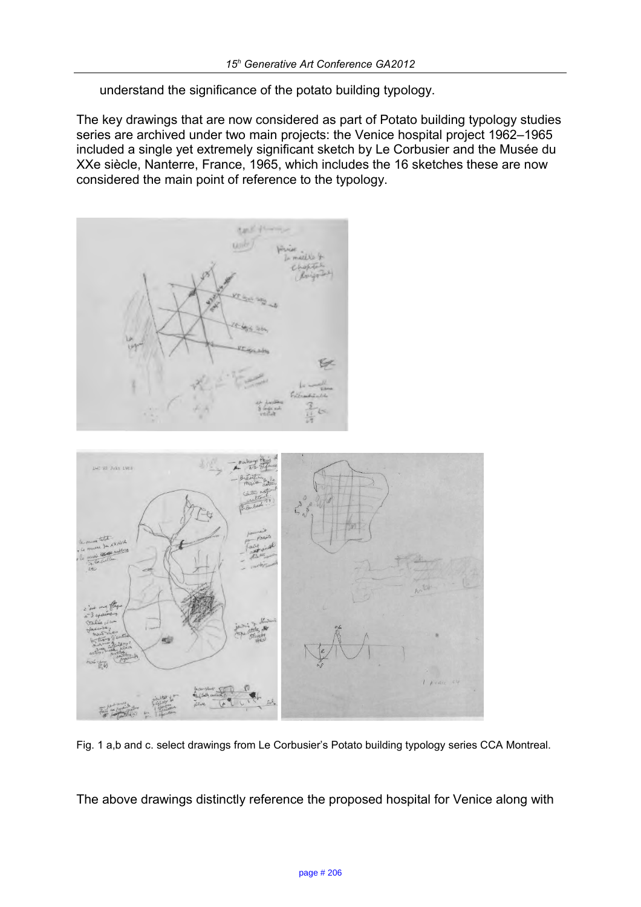understand the significance of the potato building typology.

The key drawings that are now considered as part of Potato building typology studies series are archived under two main projects: the Venice hospital project 1962–1965 included a single yet extremely significant sketch by Le Corbusier and the Musée du XXe siècle, Nanterre, France, 1965, which includes the 16 sketches these are now considered the main point of reference to the typology.





Fig. 1 a,b and c. select drawings from Le Corbusier's Potato building typology series CCA Montreal.

The above drawings distinctly reference the proposed hospital for Venice along with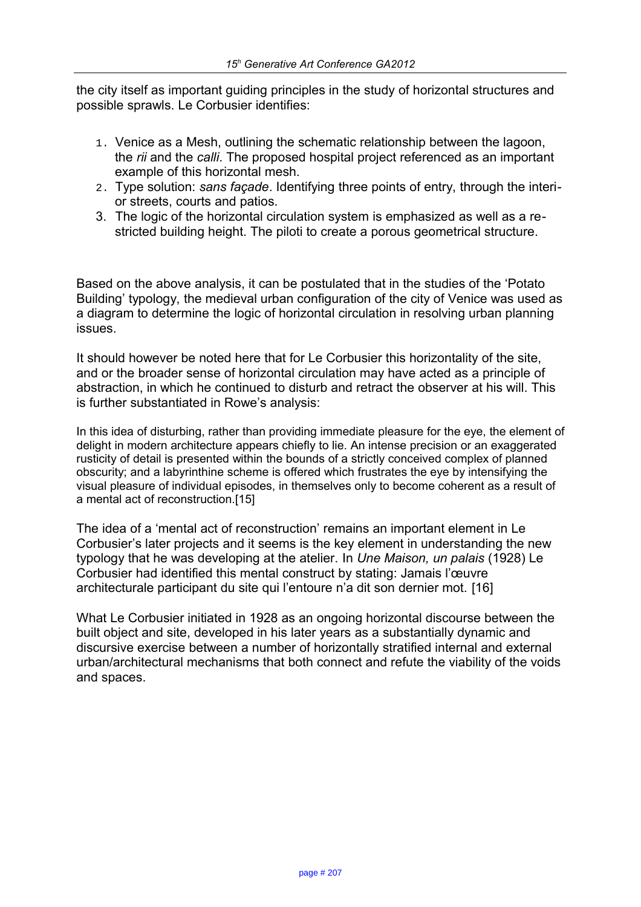the city itself as important guiding principles in the study of horizontal structures and possible sprawls. Le Corbusier identifies:

- 1. Venice as a Mesh, outlining the schematic relationship between the lagoon, the *rii* and the *calli*. The proposed hospital project referenced as an important example of this horizontal mesh.
- 2. Type solution: *sans façade*. Identifying three points of entry, through the interior streets, courts and patios.
- 3. The logic of the horizontal circulation system is emphasized as well as a restricted building height. The piloti to create a porous geometrical structure.

Based on the above analysis, it can be postulated that in the studies of the 'Potato Building' typology, the medieval urban configuration of the city of Venice was used as a diagram to determine the logic of horizontal circulation in resolving urban planning issues.

It should however be noted here that for Le Corbusier this horizontality of the site, and or the broader sense of horizontal circulation may have acted as a principle of abstraction, in which he continued to disturb and retract the observer at his will. This is further substantiated in Rowe's analysis:

In this idea of disturbing, rather than providing immediate pleasure for the eye, the element of delight in modern architecture appears chiefly to lie. An intense precision or an exaggerated rusticity of detail is presented within the bounds of a strictly conceived complex of planned obscurity; and a labyrinthine scheme is offered which frustrates the eye by intensifying the visual pleasure of individual episodes, in themselves only to become coherent as a result of a mental act of reconstruction.[15]

The idea of a 'mental act of reconstruction' remains an important element in Le Corbusier's later projects and it seems is the key element in understanding the new typology that he was developing at the atelier. In *Une Maison, un palais* (1928) Le Corbusier had identified this mental construct by stating: Jamais l'œuvre architecturale participant du site qui l'entoure n'a dit son dernier mot. [16]

What Le Corbusier initiated in 1928 as an ongoing horizontal discourse between the built object and site, developed in his later years as a substantially dynamic and discursive exercise between a number of horizontally stratified internal and external urban/architectural mechanisms that both connect and refute the viability of the voids and spaces.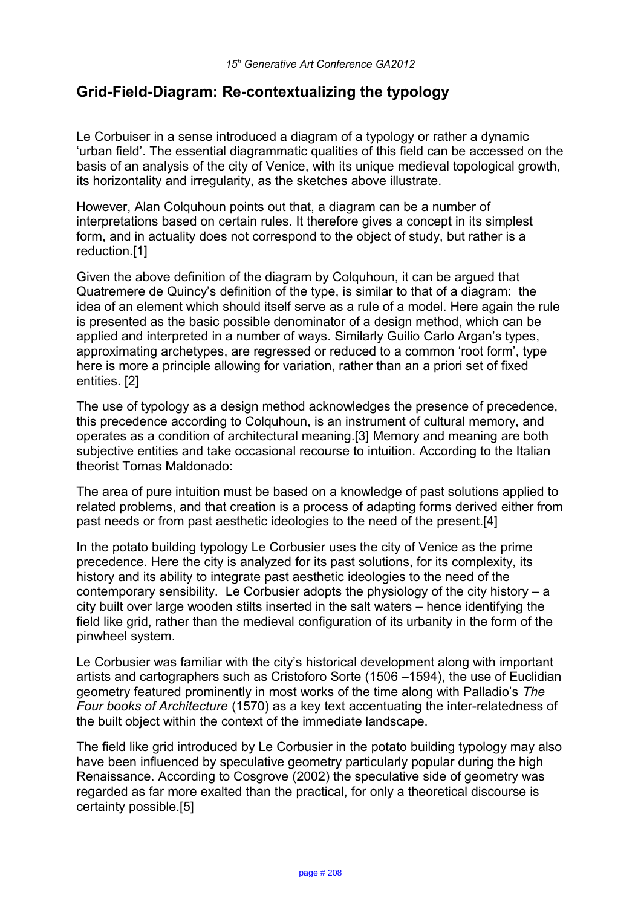## **Grid-Field-Diagram: Re-contextualizing the typology**

Le Corbuiser in a sense introduced a diagram of a typology or rather a dynamic 'urban field'. The essential diagrammatic qualities of this field can be accessed on the basis of an analysis of the city of Venice, with its unique medieval topological growth, its horizontality and irregularity, as the sketches above illustrate.

However, Alan Colquhoun points out that, a diagram can be a number of interpretations based on certain rules. It therefore gives a concept in its simplest form, and in actuality does not correspond to the object of study, but rather is a reduction.[1]

Given the above definition of the diagram by Colquhoun, it can be argued that Quatremere de Quincy's definition of the type, is similar to that of a diagram: the idea of an element which should itself serve as a rule of a model. Here again the rule is presented as the basic possible denominator of a design method, which can be applied and interpreted in a number of ways. Similarly Guilio Carlo Argan's types, approximating archetypes, are regressed or reduced to a common 'root form', type here is more a principle allowing for variation, rather than an a priori set of fixed entities. [2]

The use of typology as a design method acknowledges the presence of precedence, this precedence according to Colquhoun, is an instrument of cultural memory, and operates as a condition of architectural meaning.[3] Memory and meaning are both subjective entities and take occasional recourse to intuition. According to the Italian theorist Tomas Maldonado:

The area of pure intuition must be based on a knowledge of past solutions applied to related problems, and that creation is a process of adapting forms derived either from past needs or from past aesthetic ideologies to the need of the present.[4]

In the potato building typology Le Corbusier uses the city of Venice as the prime precedence. Here the city is analyzed for its past solutions, for its complexity, its history and its ability to integrate past aesthetic ideologies to the need of the contemporary sensibility. Le Corbusier adopts the physiology of the city history – a city built over large wooden stilts inserted in the salt waters – hence identifying the field like grid, rather than the medieval configuration of its urbanity in the form of the pinwheel system.

Le Corbusier was familiar with the city's historical development along with important artists and cartographers such as Cristoforo Sorte (1506 –1594), the use of Euclidian geometry featured prominently in most works of the time along with Palladio's *The Four books of Architecture* (1570) as a key text accentuating the inter-relatedness of the built object within the context of the immediate landscape.

The field like grid introduced by Le Corbusier in the potato building typology may also have been influenced by speculative geometry particularly popular during the high Renaissance. According to Cosgrove (2002) the speculative side of geometry was regarded as far more exalted than the practical, for only a theoretical discourse is certainty possible.[5]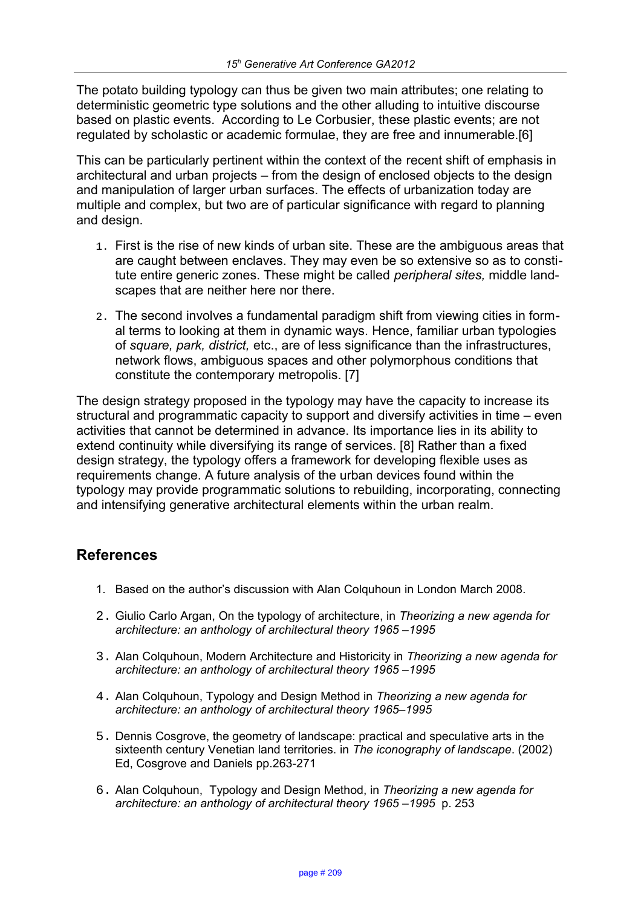The potato building typology can thus be given two main attributes; one relating to deterministic geometric type solutions and the other alluding to intuitive discourse based on plastic events. According to Le Corbusier, these plastic events; are not regulated by scholastic or academic formulae, they are free and innumerable.[6]

This can be particularly pertinent within the context of the recent shift of emphasis in architectural and urban projects – from the design of enclosed objects to the design and manipulation of larger urban surfaces. The effects of urbanization today are multiple and complex, but two are of particular significance with regard to planning and design.

- 1. First is the rise of new kinds of urban site. These are the ambiguous areas that are caught between enclaves. They may even be so extensive so as to constitute entire generic zones. These might be called *peripheral sites,* middle landscapes that are neither here nor there.
- 2. The second involves a fundamental paradigm shift from viewing cities in formal terms to looking at them in dynamic ways. Hence, familiar urban typologies of *square, park, district,* etc., are of less significance than the infrastructures, network flows, ambiguous spaces and other polymorphous conditions that constitute the contemporary metropolis. [7]

The design strategy proposed in the typology may have the capacity to increase its structural and programmatic capacity to support and diversify activities in time – even activities that cannot be determined in advance. Its importance lies in its ability to extend continuity while diversifying its range of services. [8] Rather than a fixed design strategy, the typology offers a framework for developing flexible uses as requirements change. A future analysis of the urban devices found within the typology may provide programmatic solutions to rebuilding, incorporating, connecting and intensifying generative architectural elements within the urban realm.

## **References**

- 1. Based on the author's discussion with Alan Colquhoun in London March 2008.
- 2. Giulio Carlo Argan, On the typology of architecture, in *Theorizing a new agenda for architecture: an anthology of architectural theory 1965 –1995*
- 3. Alan Colquhoun, Modern Architecture and Historicity in *Theorizing a new agenda for architecture: an anthology of architectural theory 1965 –1995*
- 4. Alan Colquhoun, Typology and Design Method in *Theorizing a new agenda for architecture: an anthology of architectural theory 1965–1995*
- 5. Dennis Cosgrove, the geometry of landscape: practical and speculative arts in the sixteenth century Venetian land territories. in *The iconography of landscape*. (2002) Ed, Cosgrove and Daniels pp.263-271
- 6. Alan Colquhoun, Typology and Design Method, in *Theorizing a new agenda for architecture: an anthology of architectural theory 1965 –1995* p. 253